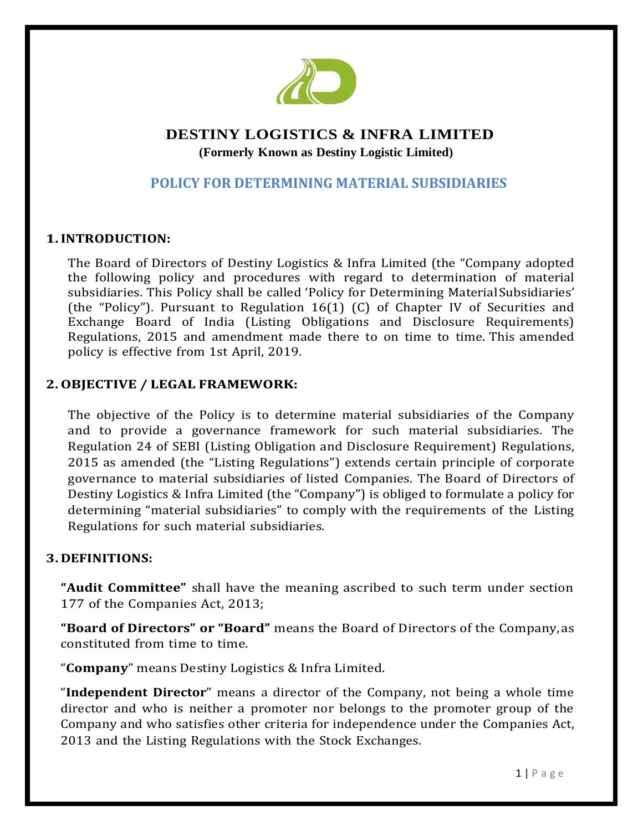

# **DESTINY LOGISTICS & INFRA LIMITED**

 **(Formerly Known as Destiny Logistic Limited)** 

# **POLICY FOR DETERMINING MATERIAL SUBSIDIARIES**

### **1.INTRODUCTION:**

The Board of Directors of Destiny Logistics & Infra Limited (the "Company adopted the following policy and procedures with regard to determination of material subsidiaries. This Policy shall be called 'Policy for Determining MaterialSubsidiaries' (the "Policy"). Pursuant to Regulation 16(1) (C) of Chapter IV of Securities and Exchange Board of India (Listing Obligations and Disclosure Requirements) Regulations, 2015 and amendment made there to on time to time. This amended policy is effective from 1st April, 2019.

#### **2.OBJECTIVE / LEGAL FRAMEWORK:**

The objective of the Policy is to determine material subsidiaries of the Company and to provide a governance framework for such material subsidiaries. The Regulation 24 of SEBI (Listing Obligation and Disclosure Requirement) Regulations, 2015 as amended (the "Listing Regulations") extends certain principle of corporate governance to material subsidiaries of listed Companies. The Board of Directors of Destiny Logistics & Infra Limited (the "Company") is obliged to formulate a policy for determining "material subsidiaries" to comply with the requirements of the Listing Regulations for such material subsidiaries.

#### **3. DEFINITIONS:**

**"Audit Committee"** shall have the meaning ascribed to such term under section 177 of the Companies Act, 2013;

**"Board of Directors" or "Board"** means the Board of Directors of the Company,as constituted from time to time.

"**Company**" means Destiny Logistics & Infra Limited.

"**Independent Director**" means a director of the Company, not being a whole time director and who is neither a promoter nor belongs to the promoter group of the Company and who satisfies other criteria for independence under the Companies Act, 2013 and the Listing Regulations with the Stock Exchanges.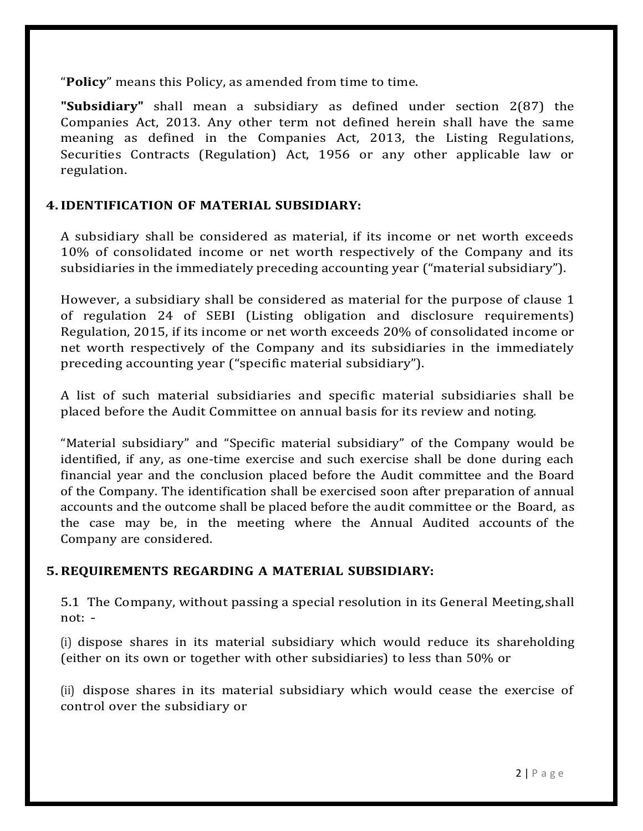"**Policy**" means this Policy, as amended from time to time.

**"Subsidiary"** shall mean a subsidiary as defined under section 2(87) the Companies Act, 2013. Any other term not defined herein shall have the same meaning as defined in the Companies Act, 2013, the Listing Regulations, Securities Contracts (Regulation) Act, 1956 or any other applicable law or regulation.

### **4.IDENTIFICATION OF MATERIAL SUBSIDIARY:**

A subsidiary shall be considered as material, if its income or net worth exceeds 10% of consolidated income or net worth respectively of the Company and its subsidiaries in the immediately preceding accounting year ("material subsidiary").

However, a subsidiary shall be considered as material for the purpose of clause 1 of regulation 24 of SEBI (Listing obligation and disclosure requirements) Regulation, 2015, if its income or net worth exceeds 20% of consolidated income or net worth respectively of the Company and its subsidiaries in the immediately preceding accounting year ("specific material subsidiary").

A list of such material subsidiaries and specific material subsidiaries shall be placed before the Audit Committee on annual basis for its review and noting.

"Material subsidiary" and "Specific material subsidiary" of the Company would be identified, if any, as one-time exercise and such exercise shall be done during each financial year and the conclusion placed before the Audit committee and the Board of the Company. The identification shall be exercised soon after preparation of annual accounts and the outcome shall be placed before the audit committee or the Board, as the case may be, in the meeting where the Annual Audited accounts of the Company are considered.

# **5.REQUIREMENTS REGARDING A MATERIAL SUBSIDIARY:**

5.1 The Company, without passing a special resolution in its General Meeting,shall not: ‐

(i) dispose shares in its material subsidiary which would reduce its shareholding (either on its own or together with other subsidiaries) to less than 50% or

(ii) dispose shares in its material subsidiary which would cease the exercise of control over the subsidiary or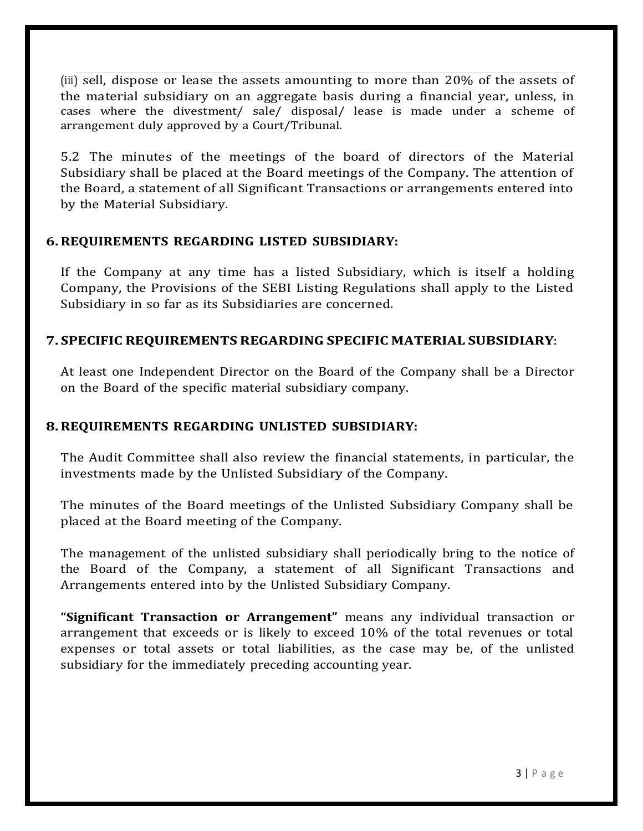(iii) sell, dispose or lease the assets amounting to more than 20% of the assets of the material subsidiary on an aggregate basis during a financial year, unless, in cases where the divestment/ sale/ disposal/ lease is made under a scheme of arrangement duly approved by a Court/Tribunal.

5.2 The minutes of the meetings of the board of directors of the Material Subsidiary shall be placed at the Board meetings of the Company. The attention of the Board, a statement of all Significant Transactions or arrangements entered into by the Material Subsidiary.

### **6.REQUIREMENTS REGARDING LISTED SUBSIDIARY:**

If the Company at any time has a listed Subsidiary, which is itself a holding Company, the Provisions of the SEBI Listing Regulations shall apply to the Listed Subsidiary in so far as its Subsidiaries are concerned.

### **7. SPECIFIC REQUIREMENTS REGARDING SPECIFIC MATERIAL SUBSIDIARY**:

At least one Independent Director on the Board of the Company shall be a Director on the Board of the specific material subsidiary company.

# **8.REQUIREMENTS REGARDING UNLISTED SUBSIDIARY:**

The Audit Committee shall also review the financial statements, in particular, the investments made by the Unlisted Subsidiary of the Company.

The minutes of the Board meetings of the Unlisted Subsidiary Company shall be placed at the Board meeting of the Company.

The management of the unlisted subsidiary shall periodically bring to the notice of the Board of the Company, a statement of all Significant Transactions and Arrangements entered into by the Unlisted Subsidiary Company.

**"Significant Transaction or Arrangement"** means any individual transaction or arrangement that exceeds or is likely to exceed 10% of the total revenues or total expenses or total assets or total liabilities, as the case may be, of the unlisted subsidiary for the immediately preceding accounting year.